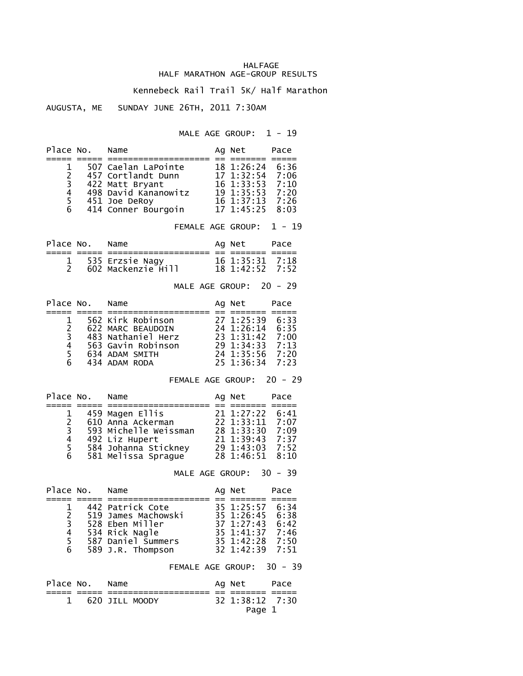## HALFAGE HALF MARATHON AGE-GROUP RESULTS

## Kennebeck Rail Trail 5K/ Half Marathon

## AUGUSTA, ME SUNDAY JUNE 26TH, 2011 7:30AM

MALE AGE GROUP:  $1 - 19$ 

| Place No.                               |                 | Name                                                                                                                                                                                                                                                     | $=$ $=$ | Ag Net                                                                                | Pace                                 |
|-----------------------------------------|-----------------|----------------------------------------------------------------------------------------------------------------------------------------------------------------------------------------------------------------------------------------------------------|---------|---------------------------------------------------------------------------------------|--------------------------------------|
| 1<br>$\overline{c}$                     | $6\overline{6}$ | 507 Caelan LaPointe<br>457 Cortlandt Dunn 17 1:32:54 7:06<br>3 422 Matt Bryan<br>4 498 David Kana<br>5 451 Joe DeRoy<br>422 Matt Bryant<br>498 David Kananowitz 19 1:35:53 7:10<br>451 Joe DePov<br>451 Joe DeRoy<br>414 Conner Bourgoin 17 1:45:25 8:03 |         |                                                                                       |                                      |
|                                         |                 |                                                                                                                                                                                                                                                          |         | FEMALE AGE GROUP: 1 - 19                                                              |                                      |
|                                         | Place No. Name  | =========== == =<br>======                                                                                                                                                                                                                               |         | Ag Net<br>====== =====                                                                | Pace                                 |
| 1<br>$\overline{2}$                     |                 |                                                                                                                                                                                                                                                          |         |                                                                                       | 7:18<br>7:52                         |
|                                         |                 |                                                                                                                                                                                                                                                          |         | MALE AGE GROUP: 20 - 29                                                               |                                      |
| Place No.                               |                 | Name<br>;==== ===== =================                                                                                                                                                                                                                    |         | Ag Net                                                                                | Pace                                 |
|                                         |                 | 2 3 622 MARC BEAUDOIN<br>2 622 MARC BEAUDOIN<br>3 483 Nathaniel Herz<br>4 563 Gavin Robinson<br>5 634 ADAM SMITH<br>4 434 ADAM RODA<br>4 54 1:35:56 7:20<br>5 434 ADAM RODA<br>5 25 1:36:34<br>7:20                                                      |         |                                                                                       |                                      |
|                                         |                 | FEMALE AGE GROUP: 20 - 29                                                                                                                                                                                                                                |         |                                                                                       |                                      |
|                                         | Place No. Name  |                                                                                                                                                                                                                                                          |         | Ag Net                                                                                | Pace                                 |
| $1 \quad$<br>$\overline{2}$             |                 | 3 593 Michelle Weissman 28 1:33:30 7:09<br>4 492 Liz Hupert 21 1:39:43 7:37<br>5 584 Johanna Stickney 29 1:43:03 7:52<br>6 581 Melissa Sprague 28 1:46:51 8:10                                                                                           |         |                                                                                       | 6:41<br>7:07                         |
|                                         |                 | MALE AGE GROUP:                                                                                                                                                                                                                                          |         |                                                                                       | $30 - 39$                            |
|                                         | Place No. Name  | ===== ===================== ==                                                                                                                                                                                                                           |         | Ag Net                                                                                | Pace<br>== =====                     |
| 1<br>$\overline{2}$<br>3<br>4<br>5<br>6 |                 | 442 Patrick Cote<br>519 James Machowski<br>528 Eben Miller<br>534 Rick Nagle<br>587 Daniel Summers<br>589 J.R. Thompson                                                                                                                                  |         | 35 1:25:57<br>35 1:26:45<br>37 1:27:43 6:42<br>35 1:41:37<br>35 1:42:28<br>32 1:42:39 | 6:34<br>6:38<br>7:46<br>7:50<br>7:51 |
|                                         |                 |                                                                                                                                                                                                                                                          |         |                                                                                       |                                      |
| Place No.                               |                 | FEMALE AGE GROUP: 30 - 39<br>Name                                                                                                                                                                                                                        |         | Ag Net                                                                                | Pace                                 |

1 620 JILL MOODY 32 1:38:12 7:30

Page 1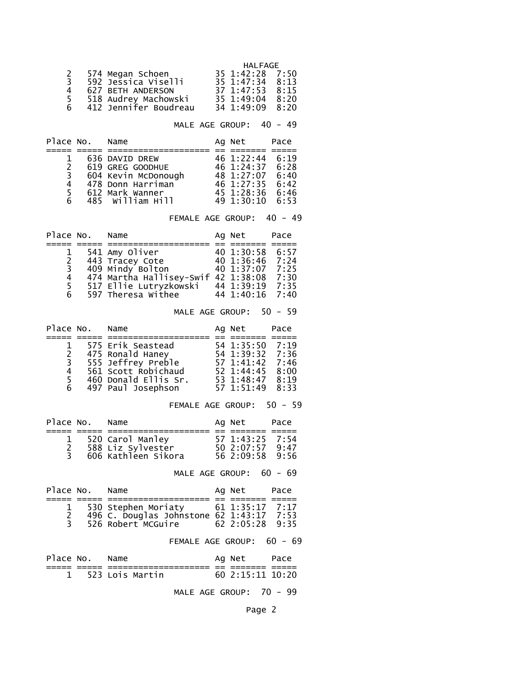|              |                       | HALFAGE               |
|--------------|-----------------------|-----------------------|
|              | 574 Megan Schoen      | 35 1:42:28 7:50       |
| $\mathbf{3}$ | 592 Jessica Viselli   | $35 \t1:47:34 \t8:13$ |
| 4            | 627 BETH ANDERSON     | 37 1:47:53<br>8:15    |
| 5.           | 518 Audrey Machowski  | 8:20<br>35 1:49:04    |
| 6            | 412 Jennifer Boudreau | 34 1:49:09<br>8:20    |

MALE AGE GROUP: 40 - 49

| Place No.     | Name                | Ag Net     | Pace |
|---------------|---------------------|------------|------|
|               |                     |            |      |
|               | 636 DAVID DREW      | 46 1:22:44 | 6:19 |
| $\mathcal{L}$ | 619 GREG GOODHUE    | 46 1:24:37 | 6:28 |
| 3             | 604 Kevin McDonough | 48 1:27:07 | 6:40 |
| 4             | 478 Donn Harriman   | 46 1:27:35 | 6:42 |
| 5.            | 612 Mark Wanner     | 45 1:28:36 | 6:46 |
| 6             | 485 William Hill    | 49 1:30:10 | 6:53 |

FEMALE AGE GROUP: 40 - 49

| Place No. | Name                                | Ag Net          | Pace |
|-----------|-------------------------------------|-----------------|------|
|           |                                     |                 |      |
| 1         | 541 Amy Oliver                      | 40 1:30:58      | 6:57 |
| 2         | 443 Tracey Cote                     | 40 1:36:46 7:24 |      |
| 3         | 409 Mindy Bolton                    | 40 1:37:07      | 7:25 |
| 4         | 474 Martha Hallisey-Swif 42 1:38:08 |                 | 7:30 |
| 5.        | 517 Ellie Lutryzkowski              | 44 1:39:19      | 7:35 |
| 6         | 597 Theresa Withee                  | 44 1:40:16      | 7:40 |

MALE AGE GROUP: 50 - 59

| Place No. | Name                 | Ag Net          | Pace |
|-----------|----------------------|-----------------|------|
|           |                      |                 |      |
|           | 575 Erik Seastead    | 54 1:35:50 7:19 |      |
| 2         | 475 Ronald Haney     | 54 1:39:32 7:36 |      |
| 3         | 555 Jeffrey Preble   | 57 1:41:42      | 7:46 |
| 4         | 561 Scott Robichaud  | 52 1:44:45      | 8:00 |
| 5.        | 460 Donald Ellis Sr. | 53 1:48:47      | 8:19 |
| 6         | 497 Paul Josephson   | 57 1:51:49      | 8:33 |

FEMALE AGE GROUP: 50 - 59

| Place No. | Name                | Ag Net          | Pace |
|-----------|---------------------|-----------------|------|
|           |                     |                 |      |
|           | 520 Carol Manley    | 57 1:43:25 7:54 |      |
|           | 588 Liz Sylvester   | 50 2:07:57      | 9:47 |
|           | 606 Kathleen Sikora | 56 2:09:58 9:56 |      |

MALE AGE GROUP: 60 - 69

| Place No. | Name                                                                               | Ag Net                             | Pace |
|-----------|------------------------------------------------------------------------------------|------------------------------------|------|
|           |                                                                                    |                                    |      |
|           | 1 530 Stephen Moriaty<br>496 C. Douglas Johnstone 62 1:43:17<br>526 Robert MCGuire | 61 1:35:17 7:17<br>62 2:05:28 9:35 | 7:53 |

FEMALE AGE GROUP: 60 - 69

| Place No. Name |                   | Ag Net             | Pace |
|----------------|-------------------|--------------------|------|
|                | 1 523 Lois Martin | $60$ 2:15:11 10:20 |      |

MALE AGE GROUP: 70 - 99